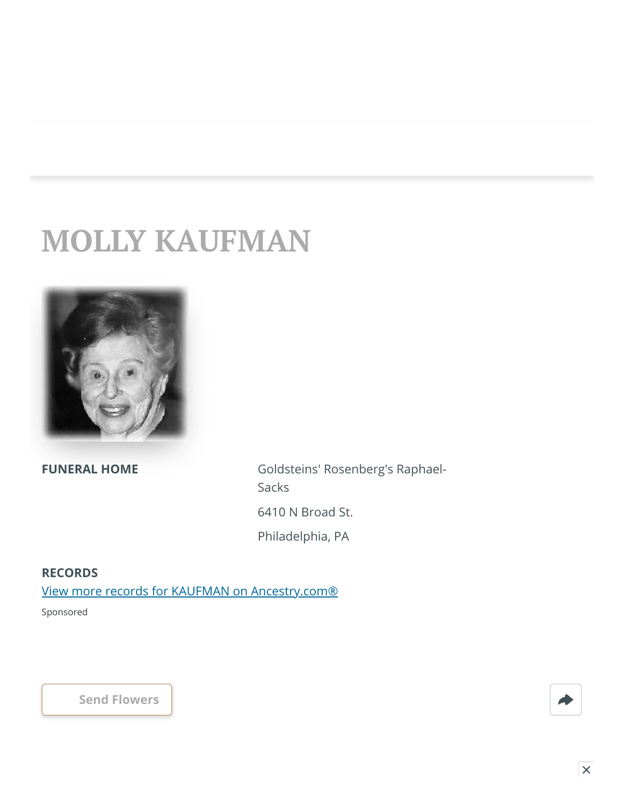## **MOLLY KAUFMAN**



**FUNERAL HOME** Goldsteins' Rosenberg's Raphael-Sacks 6410 N Broad St. Philadelphia, PA

## **RECORDS**

[View more records for KAUFMAN on Ancestry.com®](https://adclick.g.doubleclick.net/pcs/click?xai=AKAOjsv6J4DdfSF_bZ4__pWeMLp4R7q7zfRNwwaBDtLXpanAfdMJ-z75qMWUrafES4Z4sVsPIJ-z0hov5DqD5VXMBPNnrU75DJMbAQREmZ1ni2XWHTNI2JHUD8yxsf6mCrbFvohsOkVKfMgI8CBxeH8nSCpNpjGjK_62mubWdrsvvWBEoehvrphc4dzemMd8iMfIGHtNF1V0ewzqWXcKG0mX5Wfsw5_JExr0fS1zUdda-NXt2wQcQ86FWf-biWhzE9IH4mBxUZe5-QP2sP6YZgFSYTC6CPfPx6B2EltwXERd5CL4pfXAqhtFkJkgpU-5BNnna5jHQ-46urKmOXZ0bauHtT6RycyfDlt8&sig=Cg0ArKJSzMOHXvO_RV-hEAE&fbs_aeid=[gw_fbsaeid]&urlfix=1&adurl=https://prf.hn/click/camref:1101l3yjc/adref:81298/destination:https://www.ancestry.com/cs/partner-records%3FflowId%3DpartnersBirth%26gsfn%3DMOLLY%26gsln%3DKAUFMAN)

Sponsored

**[Send Flowers](https://sympathy.legacy.com/en-us/funeral-flowers/name/molly-kaufman-funeral-flowers/p194213993/?affiliateId=4327&pm=205)**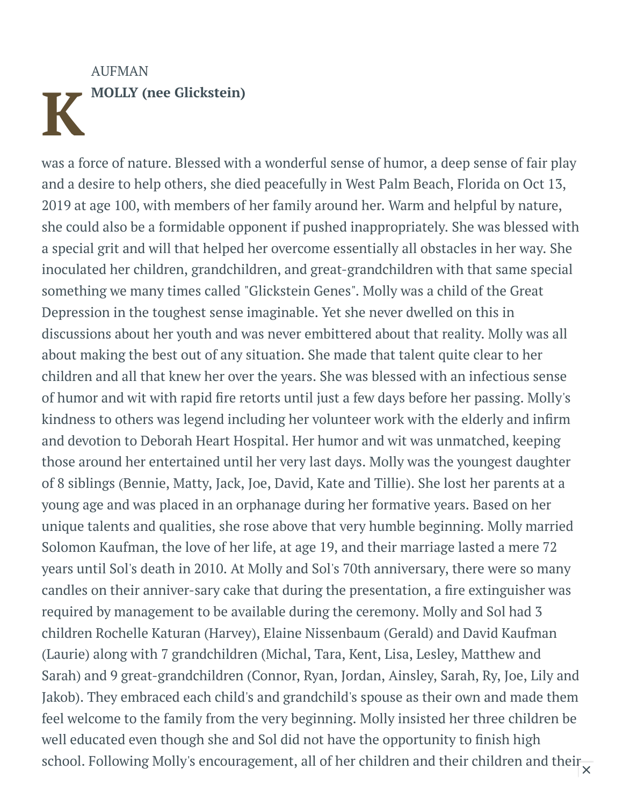**K** AUFMAN **MOLLY (nee Glickstein)**

was a force of nature. Blessed with a wonderful sense of humor, a deep sense of fair play and a desire to help others, she died peacefully in West Palm Beach, Florida on Oct 13, 2019 at age 100, with members of her family around her. Warm and helpful by nature, she could also be a formidable opponent if pushed inappropriately. She was blessed with a special grit and will that helped her overcome essentially all obstacles in her way. She inoculated her children, grandchildren, and great-grandchildren with that same special something we many times called "Glickstein Genes". Molly was a child of the Great Depression in the toughest sense imaginable. Yet she never dwelled on this in discussions about her youth and was never embittered about that reality. Molly was all about making the best out of any situation. She made that talent quite clear to her children and all that knew her over the years. She was blessed with an infectious sense of humor and wit with rapid fire retorts until just a few days before her passing. Molly's kindness to others was legend including her volunteer work with the elderly and infirm and devotion to Deborah Heart Hospital. Her humor and wit was unmatched, keeping those around her entertained until her very last days. Molly was the youngest daughter of 8 siblings (Bennie, Matty, Jack, Joe, David, Kate and Tillie). She lost her parents at a young age and was placed in an orphanage during her formative years. Based on her unique talents and qualities, she rose above that very humble beginning. Molly married Solomon Kaufman, the love of her life, at age 19, and their marriage lasted a mere 72 years until Sol's death in 2010. At Molly and Sol's 70th anniversary, there were so many candles on their anniver-sary cake that during the presentation, a fire extinguisher was required by management to be available during the ceremony. Molly and Sol had 3 children Rochelle Katuran (Harvey), Elaine Nissenbaum (Gerald) and David Kaufman (Laurie) along with 7 grandchildren (Michal, Tara, Kent, Lisa, Lesley, Matthew and Sarah) and 9 great-grandchildren (Connor, Ryan, Jordan, Ainsley, Sarah, Ry, Joe, Lily and Jakob). They embraced each child's and grandchild's spouse as their own and made them feel welcome to the family from the very beginning. Molly insisted her three children be well educated even though she and Sol did not have the opportunity to finish high school. Following Molly's encouragement, all of her children and their children and their  $\frac{1}{x}$